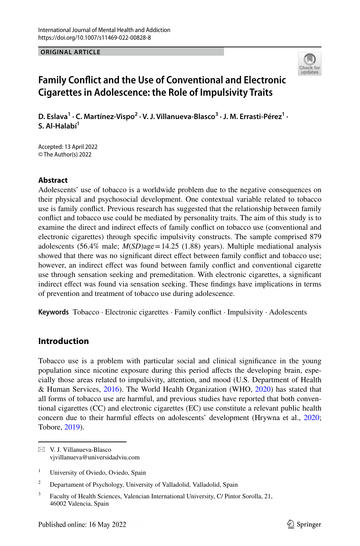**ORIGINAL ARTICLE**



# **Family Confict and the Use of Conventional and Electronic Cigarettes in Adolescence: the Role of Impulsivity Traits**

D. Eslava<sup>1</sup> · C. Martínez-Vispo<sup>2</sup> · V. J. Villanueva-Blasco<sup>3</sup> · J. M. Errasti-Pérez<sup>1</sup> · **S. Al‑Halabí1**

Accepted: 13 April 2022 © The Author(s) 2022

### **Abstract**

Adolescents' use of tobacco is a worldwide problem due to the negative consequences on their physical and psychosocial development. One contextual variable related to tobacco use is family confict. Previous research has suggested that the relationship between family confict and tobacco use could be mediated by personality traits. The aim of this study is to examine the direct and indirect efects of family confict on tobacco use (conventional and electronic cigarettes) through specifc impulsivity constructs. The sample comprised 879 adolescents (56.4% male; *M*(*SD*)age=14.25 (1.88) years). Multiple mediational analysis showed that there was no signifcant direct efect between family confict and tobacco use; however, an indirect efect was found between family confict and conventional cigarette use through sensation seeking and premeditation. With electronic cigarettes, a signifcant indirect efect was found via sensation seeking. These fndings have implications in terms of prevention and treatment of tobacco use during adolescence.

**Keywords** Tobacco · Electronic cigarettes · Family confict · Impulsivity · Adolescents

# **Introduction**

Tobacco use is a problem with particular social and clinical signifcance in the young population since nicotine exposure during this period affects the developing brain, especially those areas related to impulsivity, attention, and mood (U.S. Department of Health & Human Services, [2016\)](#page-11-0). The World Health Organization (WHO, [2020\)](#page-11-1) has stated that all forms of tobacco use are harmful, and previous studies have reported that both conventional cigarettes (CC) and electronic cigarettes (EC) use constitute a relevant public health concern due to their harmful effects on adolescents' development (Hrywna et al., [2020;](#page-10-0) Tobore, [2019\)](#page-11-2).

 $\boxtimes$  V. J. Villanueva-Blasco vjvillanueva@universidadviu.com

<sup>&</sup>lt;sup>1</sup> University of Oviedo, Oviedo, Spain

<sup>&</sup>lt;sup>2</sup> Departament of Psychology, University of Valladolid, Valladolid, Spain

<sup>&</sup>lt;sup>3</sup> Faculty of Health Sciences, Valencian International University, C/ Pintor Sorolla, 21, 46002 Valencia, Spain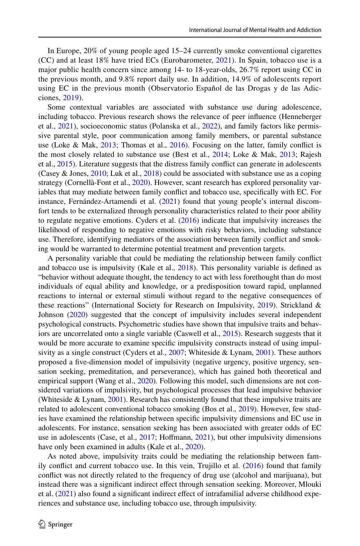In Europe, 20% of young people aged 15–24 currently smoke conventional cigarettes (CC) and at least 18% have tried ECs (Eurobarometer, [2021](#page-9-0)). In Spain, tobacco use is a major public health concern since among 14- to 18-year-olds, 26.7% report using CC in the previous month, and 9.8% report daily use. In addition, 14.9% of adolescents report using EC in the previous month (Observatorio Español de las Drogas y de las Adicciones, [2019](#page-10-1)).

Some contextual variables are associated with substance use during adolescence, including tobacco. Previous research shows the relevance of peer infuence (Henneberger et al., [2021\)](#page-10-2), socioeconomic status (Polanska et al., [2022\)](#page-11-3), and family factors like permissive parental style, poor communication among family members, or parental substance use (Loke & Mak, [2013;](#page-10-3) Thomas et al., [2016](#page-11-4)). Focusing on the latter, family confict is the most closely related to substance use (Best et al., [2014;](#page-9-1) Loke & Mak, [2013;](#page-10-3) Rajesh et al., [2015\)](#page-11-5). Literature suggests that the distress family confict can generate in adolescents (Casey & Jones,  $2010$ ; Luk et al.,  $2018$ ) could be associated with substance use as a coping strategy (Cornellà-Font et al., [2020](#page-9-3)). However, scant research has explored personality variables that may mediate between family confict and tobacco use, specifcally with EC. For instance, Fernández-Artamendi et al. ([2021\)](#page-10-5) found that young people's internal discomfort tends to be externalized through personality characteristics related to their poor ability to regulate negative emotions. Cyders et al.  $(2016)$  $(2016)$  indicate that impulsivity increases the likelihood of responding to negative emotions with risky behaviors, including substance use. Therefore, identifying mediators of the association between family conflict and smoking would be warranted to determine potential treatment and prevention targets.

A personality variable that could be mediating the relationship between family confict and tobacco use is impulsivity (Kale et al., [2018](#page-10-6)). This personality variable is defned as "behavior without adequate thought, the tendency to act with less forethought than do most individuals of equal ability and knowledge, or a predisposition toward rapid, unplanned reactions to internal or external stimuli without regard to the negative consequences of these reactions" (International Society for Research on Impulsivity, [2019\)](#page-10-7). Strickland & Johnson [\(2020](#page-11-6)) suggested that the concept of impulsivity includes several independent psychological constructs. Psychometric studies have shown that impulsive traits and behav-iors are uncorrelated onto a single variable (Caswell et al., [2015\)](#page-9-5). Research suggests that it would be more accurate to examine specific impulsivity constructs instead of using impul-sivity as a single construct (Cyders et al., [2007;](#page-9-6) Whiteside & Lynam, [2001](#page-11-7)). These authors proposed a five-dimension model of impulsivity (negative urgency, positive urgency, sensation seeking, premeditation, and perseverance), which has gained both theoretical and empirical support (Wang et al., [2020\)](#page-11-8). Following this model, such dimensions are not considered variations of impulsivity, but psychological processes that lead impulsive behavior (Whiteside  $& Lynam$ , [2001\)](#page-11-7). Research has consistently found that these impulsive traits are related to adolescent conventional tobacco smoking (Bos et al., [2019](#page-9-7)). However, few studies have examined the relationship between specifc impulsivity dimensions and EC use in adolescents. For instance, sensation seeking has been associated with greater odds of EC use in adolescents (Case, et al., [2017](#page-9-8); Hofmann, [2021](#page-10-8)), but other impulsivity dimensions have only been examined in adults (Kale et al., [2020](#page-10-9)).

As noted above, impulsivity traits could be mediating the relationship between family confict and current tobacco use. In this vein, Trujillo et al. ([2016\)](#page-11-9) found that family confict was not directly related to the frequency of drug use (alcohol and marijuana), but instead there was a signifcant indirect efect through sensation seeking. Moreover, Mlouki et al.  $(2021)$  $(2021)$  also found a significant indirect effect of intrafamilial adverse childhood experiences and substance use, including tobacco use, through impulsivity.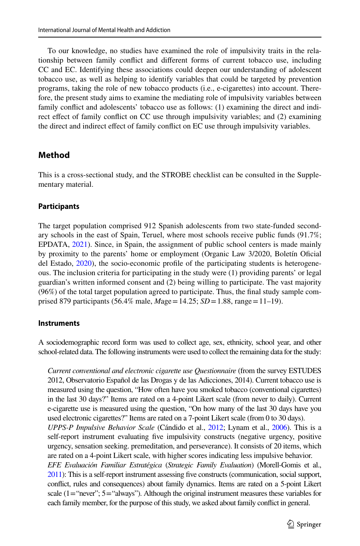To our knowledge, no studies have examined the role of impulsivity traits in the rela‑ tionship between family confict and diferent forms of current tobacco use, including CC and EC. Identifying these associations could deepen our understanding of adolescent tobacco use, as well as helping to identify variables that could be targeted by prevention programs, taking the role of new tobacco products (i.e., e-cigarettes) into account. There‑ fore, the present study aims to examine the mediating role of impulsivity variables between family conflict and adolescents' tobacco use as follows: (1) examining the direct and indirect effect of family conflict on CC use through impulsivity variables; and (2) examining the direct and indirect efect of family confict on EC use through impulsivity variables.

### **Method**

This is a cross-sectional study, and the STROBE checklist can be consulted in the Supplementary material.

#### **Participants**

The target population comprised 912 Spanish adolescents from two state-funded secondary schools in the east of Spain, Teruel, where most schools receive public funds (91.7%; EPDATA, [2021](#page-9-9)). Since, in Spain, the assignment of public school centers is made mainly by proximity to the parents' home or employment (Organic Law 3/2020, Boletín Oficial del Estado, [2020\)](#page-9-10), the socio-economic profile of the participating students is heterogeneous. The inclusion criteria for participating in the study were (1) providing parents' or legal guardian's written informed consent and (2) being willing to participate. The vast majority  $(96%)$  of the total target population agreed to participate. Thus, the final study sample comprised 879 participants (56.4% male, *M*age=14.25; *SD*=1.88, range=11–19).

#### **Instruments**

A sociodemographic record form was used to collect age, sex, ethnicity, school year, and other school-related data. The following instruments were used to collect the remaining data for the study:

*Current conventional and electronic cigarette use Questionnaire* (from the survey ESTUDES 2012, Observatorio Español de las Drogas y de las Adicciones, 2014). Current tobacco use is measured using the question, "How often have you smoked tobacco (conventional cigarettes) in the last 30 days?" Items are rated on a 4-point Likert scale (from never to daily). Current e-cigarette use is measured using the question, "On how many of the last 30 days have you used electronic cigarettes?" Items are rated on a 7-point Likert scale (from 0 to 30 days). *UPPS-P Impulsive Behavior Scale* (Cándido et al., [2012;](#page-9-11) Lynam et al., [2006\)](#page-10-11). This is a self-report instrument evaluating five impulsivity constructs (negative urgency, positive urgency, sensation seeking. premeditation, and perseverance). It consists of 20 items, which are rated on a 4-point Likert scale, with higher scores indicating less impulsive behavior. *EFE Evaluación Familiar Estratégica* (*Strategic Family Evaluation*) (Morell-Gomis et al., [2011\)](#page-10-12): This is a self-report instrument assessing fve constructs (communication, social support, confict, rules and consequences) about family dynamics. Items are rated on a 5-point Likert scale  $(1="never";$   $5="always"$ ). Although the original instrument measures these variables for each family member, for the purpose of this study, we asked about family confict in general.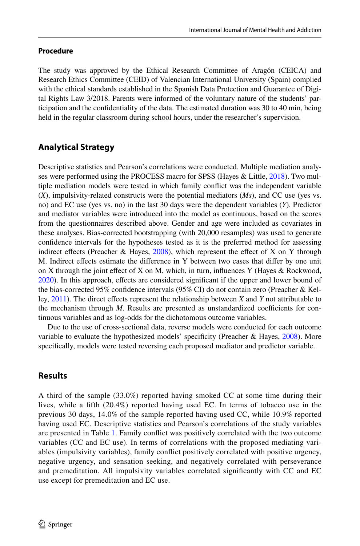### **Procedure**

The study was approved by the Ethical Research Committee of Aragón (CEICA) and Research Ethics Committee (CEID) of Valencian International University (Spain) complied with the ethical standards established in the Spanish Data Protection and Guarantee of Digital Rights Law 3/2018. Parents were informed of the voluntary nature of the students' participation and the confdentiality of the data. The estimated duration was 30 to 40 min, being held in the regular classroom during school hours, under the researcher's supervision.

# **Analytical Strategy**

Descriptive statistics and Pearson's correlations were conducted. Multiple mediation analyses were performed using the PROCESS macro for SPSS (Hayes  $\&$  Little, [2018\)](#page-10-13). Two multiple mediation models were tested in which family confict was the independent variable (*X*), impulsivity-related constructs were the potential mediators (*Ms*), and CC use (yes vs. no) and EC use (yes vs. no) in the last 30 days were the dependent variables (*Y*). Predictor and mediator variables were introduced into the model as continuous, based on the scores from the questionnaires described above. Gender and age were included as covariates in these analyses. Bias-corrected bootstrapping (with 20,000 resamples) was used to generate confdence intervals for the hypotheses tested as it is the preferred method for assessing indirect effects (Preacher & Hayes,  $2008$ ), which represent the effect of X on Y through M. Indirect efects estimate the diference in Y between two cases that difer by one unit on X through the joint efect of X on M, which, in turn, infuences Y (Hayes & Rockwood, [2020\)](#page-10-14). In this approach, efects are considered signifcant if the upper and lower bound of the bias-corrected 95% confidence intervals (95% CI) do not contain zero (Preacher & Kelley, [2011\)](#page-11-11). The direct efects represent the relationship between *X* and *Y* not attributable to the mechanism through  $M$ . Results are presented as unstandardized coefficients for continuous variables and as log-odds for the dichotomous outcome variables.

Due to the use of cross-sectional data, reverse models were conducted for each outcome variable to evaluate the hypothesized models' specifcity (Preacher & Hayes, [2008\)](#page-11-10). More specifcally, models were tested reversing each proposed mediator and predictor variable.

# **Results**

A third of the sample (33.0%) reported having smoked CC at some time during their lives, while a ffth (20.4%) reported having used EC. In terms of tobacco use in the previous 30 days, 14.0% of the sample reported having used CC, while 10.9% reported having used EC. Descriptive statistics and Pearson's correlations of the study variables are presented in Table [1.](#page-4-0) Family confict was positively correlated with the two outcome variables (CC and EC use). In terms of correlations with the proposed mediating vari ables (impulsivity variables), family confict positively correlated with positive urgency, negative urgency, and sensation seeking, and negatively correlated with perseverance and premeditation. All impulsivity variables correlated signifcantly with CC and EC use except for premeditation and EC use.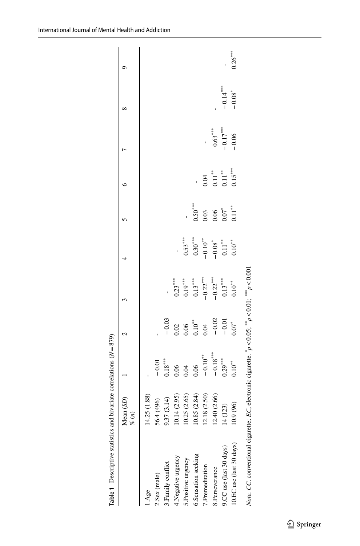|                                                                                                                                               | Mean $(SD)$<br>$\frac{a}{b}$                                                                            |                                                                               |                                                                                      |                                                                 |                                                                                                                            |                                                                                              |                                                                             |                                                                   | ∝                    |           |
|-----------------------------------------------------------------------------------------------------------------------------------------------|---------------------------------------------------------------------------------------------------------|-------------------------------------------------------------------------------|--------------------------------------------------------------------------------------|-----------------------------------------------------------------|----------------------------------------------------------------------------------------------------------------------------|----------------------------------------------------------------------------------------------|-----------------------------------------------------------------------------|-------------------------------------------------------------------|----------------------|-----------|
| 1.Age                                                                                                                                         | 5(1.88)<br>14.25                                                                                        |                                                                               |                                                                                      |                                                                 |                                                                                                                            |                                                                                              |                                                                             |                                                                   |                      |           |
| 2.Sex (male)                                                                                                                                  |                                                                                                         |                                                                               |                                                                                      |                                                                 |                                                                                                                            |                                                                                              |                                                                             |                                                                   |                      |           |
| 3.Family conflict                                                                                                                             | 56.4 (496)<br>9.37 (3.14)                                                                               |                                                                               |                                                                                      |                                                                 |                                                                                                                            |                                                                                              |                                                                             |                                                                   |                      |           |
| 4. Negative urgency                                                                                                                           | 10.14(2.95)                                                                                             | $\begin{bmatrix} -0.01 \\ 0.18 \\ 0.06 \\ 0.04 \\ 0.06 \\ 0.06 \end{bmatrix}$ | $-0.03$<br>$0.02$<br>$0.06$<br>$0.10$ <sup>**</sup><br>$-0.02$<br>$-0.02$<br>$-0.01$ |                                                                 |                                                                                                                            |                                                                                              |                                                                             |                                                                   |                      |           |
| 5.Positive urgency                                                                                                                            |                                                                                                         |                                                                               |                                                                                      |                                                                 |                                                                                                                            |                                                                                              |                                                                             |                                                                   |                      |           |
| 6.Sensation seeking                                                                                                                           |                                                                                                         |                                                                               |                                                                                      |                                                                 |                                                                                                                            |                                                                                              |                                                                             |                                                                   |                      |           |
| 7.Premeditation                                                                                                                               | $\begin{array}{c} 10.25 \; (2.65) \\ 10.85 \; (2.84) \\ 12.18 \; (2.50) \\ 12.40 \; (2.66) \end{array}$ | $-0.10***$                                                                    |                                                                                      |                                                                 |                                                                                                                            |                                                                                              |                                                                             |                                                                   |                      |           |
| 8.Perseverance                                                                                                                                |                                                                                                         |                                                                               |                                                                                      |                                                                 |                                                                                                                            |                                                                                              |                                                                             |                                                                   |                      |           |
| 9.CC use (last 30 days)                                                                                                                       | 14(123)                                                                                                 | $-0.18***$<br>0.29***                                                         |                                                                                      | $0.23***$<br>$0.19***$<br>$0.13***$<br>$-0.22***$<br>$-0.21***$ | $\begin{matrix} 0.53^{***} \\ 0.30^{***} \\ -0.10^{**} \\ -0.08^{*} \\ 0.11^{**} \\ 0.10^{***} \\ 0.10^{***} \end{matrix}$ | $\begin{array}{c} 0.50^{***} \\ 0.03 \\ 0.05 \\ 0.06 \\ 0.07^{**} \\ 0.11^{***} \end{array}$ | $\begin{array}{c} 0.04 \\ 0.11^{**} \\ 0.11^{**} \\ 0.15^{***} \end{array}$ | $\begin{array}{l} 0.63^{***} \\ -0.17^{***} \\ -0.06 \end{array}$ | $-0.14***$           |           |
| 10.EC use (last 30 days)                                                                                                                      | 10.9 (96)                                                                                               | $0.10$ <sup>**</sup>                                                          |                                                                                      | $0.10^{**}$                                                     |                                                                                                                            |                                                                                              |                                                                             |                                                                   | $-0.08$ <sup>*</sup> | $0.26***$ |
| Note. CC, conventional cigarette; EC, electronic cigarette. $\stackrel{*}{p}$ < 0.05; $\stackrel{***}{p}$ < 0.01; $\stackrel{***}{p}$ < 0.001 |                                                                                                         |                                                                               |                                                                                      |                                                                 |                                                                                                                            |                                                                                              |                                                                             |                                                                   |                      |           |

<span id="page-4-0"></span>**Table 1** Descriptive statistics and bivariate correlations ( *N* =879)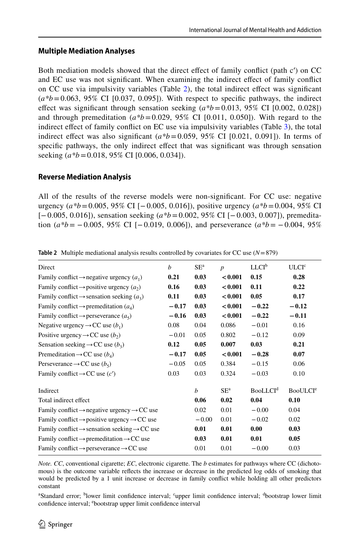### **Multiple Mediation Analyses**

Both mediation models showed that the direct efect of family confict (path c′) on CC and EC use was not signifcant. When examining the indirect efect of family confict on CC use via impulsivity variables (Table [2\)](#page-5-0), the total indirect efect was signifcant  $(a*b=0.063, 95\% \text{ CI } [0.037, 0.095])$ . With respect to specific pathways, the indirect efect was signifcant through sensation seeking (*a\*b*=0.013, 95% CI [0.002, 0.028]) and through premeditation  $(a*b=0.029, 95\% \text{ CI} [0.011, 0.050])$ . With regard to the indirect efect of family confict on EC use via impulsivity variables (Table [3\)](#page-6-0), the total indirect effect was also significant  $(a*b=0.059, 95\%$  CI [0.021, 0.091]). In terms of specifc pathways, the only indirect efect that was signifcant was through sensation seeking (*a\*b*=0.018, 95% CI [0.006, 0.034]).

### **Reverse Mediation Analysis**

All of the results of the reverse models were non-signifcant. For CC use: negative urgency  $(a*b=0.005, 95%$  CI [−0.005, 0.016]), positive urgency  $(a*b=0.004, 95%$  CI [−0.005, 0.016]), sensation seeking (*a\*b*=0.002, 95% CI [−0.003, 0.007]), premedita‑ tion  $(a*b = -0.005, 95\% \text{ CI } [-0.019, 0.006])$ , and perseverance  $(a*b = -0.004, 95\%$ 

| Direct                                                               | b       | $SE^a$  | $\boldsymbol{p}$ | LLCI <sup>b</sup>          | ULCI <sup>c</sup>          |
|----------------------------------------------------------------------|---------|---------|------------------|----------------------------|----------------------------|
| Family conflict $\rightarrow$ negative urgency $(a_1)$               | 0.21    | 0.03    | < 0.001          | 0.15                       | 0.28                       |
| Family conflict $\rightarrow$ positive urgency $(a_2)$               | 0.16    | 0.03    | < 0.001          | 0.11                       | 0.22                       |
| Family conflict $\rightarrow$ sensation seeking $(a_3)$              | 0.11    | 0.03    | < 0.001          | 0.05                       | 0.17                       |
| Family conflict $\rightarrow$ premeditation ( $a_4$ )                | $-0.17$ | 0.03    | < 0.001          | $-0.22$                    | $-0.12$                    |
| Family conflict $\rightarrow$ perseverance $(a_5)$                   | $-0.16$ | 0.03    | < 0.001          | $-0.22$                    | $-0.11$                    |
| Negative urgency $\rightarrow CC$ use $(b_1)$                        | 0.08    | 0.04    | 0.086            | $-0.01$                    | 0.16                       |
| Positive urgency $\rightarrow CC$ use $(b_2)$                        | $-0.01$ | 0.05    | 0.802            | $-0.12$                    | 0.09                       |
| Sensation seeking $\rightarrow CC$ use $(b_3)$                       | 0.12    | 0.05    | 0.007            | 0.03                       | 0.21                       |
| Premeditation $\rightarrow CC$ use $(b_4)$                           | $-0.17$ | 0.05    | < 0.001          | $-0.28$                    | 0.07                       |
| Perseverance $\rightarrow CC$ use $(b_5)$                            | $-0.05$ | 0.05    | 0.384            | $-0.15$                    | 0.06                       |
| Family conflict $\rightarrow CC$ use $(c')$                          | 0.03    | 0.03    | 0.324            | $-0.03$                    | 0.10                       |
| Indirect                                                             |         | h       | SE <sup>a</sup>  | <b>BooLLCI<sup>d</sup></b> | <b>BooULCI<sup>e</sup></b> |
| Total indirect effect                                                |         | 0.06    | 0.02             | 0.04                       | 0.10                       |
| Family conflict $\rightarrow$ negative urgency $\rightarrow CC$ use  |         | 0.02    | 0.01             | $-0.00$                    | 0.04                       |
| Family conflict $\rightarrow$ positive urgency $\rightarrow CC$ use  |         | $-0.00$ | 0.01             | $-0.02$                    | 0.02                       |
| Family conflict $\rightarrow$ sensation seeking $\rightarrow$ CC use |         | 0.01    | 0.01             | 0.00                       | 0.03                       |
| Family conflict $\rightarrow$ premeditation $\rightarrow CC$ use     |         | 0.03    | 0.01             | 0.01                       | 0.05                       |
| Family conflict $\rightarrow$ perseverance $\rightarrow CC$ use      |         | 0.01    | 0.01             | $-0.00$                    | 0.03                       |
|                                                                      |         |         |                  |                            |                            |

<span id="page-5-0"></span>**Table 2** Multiple mediational analysis results controlled by covariates for CC use (*N*=879)

*Note. CC*, conventional cigarette; *EC*, electronic cigarette. The *b* estimates for pathways where CC (dichotomous) is the outcome variable refects the increase or decrease in the predicted log odds of smoking that would be predicted by a 1 unit increase or decrease in family confict while holding all other predictors constant

<sup>a</sup>Standard error; <sup>b</sup>lower limit confidence interval; <sup>c</sup>upper limit confidence interval; <sup>d</sup>bootstrap lower limit confidence interval; <sup>e</sup>bootstrap upper limit confidence interval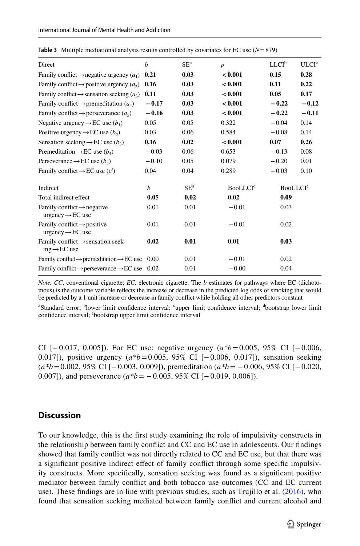| Direct                                                                               | $\boldsymbol{h}$ | $SE^a$ | $\boldsymbol{p}$            | LLCI <sup>b</sup>          | ULCI <sup>c</sup> |
|--------------------------------------------------------------------------------------|------------------|--------|-----------------------------|----------------------------|-------------------|
| Family conflict $\rightarrow$ negative urgency $(a_1)$                               | 0.21             | 0.03   | < 0.001                     | 0.15                       | 0.28              |
| Family conflict $\rightarrow$ positive urgency $(a_2)$                               | 0.16             | 0.03   | < 0.001                     | 0.11                       | 0.22              |
| Family conflict $\rightarrow$ sensation seeking $(a_3)$                              | 0.11             | 0.03   | < 0.001                     | 0.05                       | 0.17              |
| Family conflict $\rightarrow$ premeditation ( $a_4$ )                                | $-0.17$          | 0.03   | < 0.001                     | $-0.22$                    | $-0.12$           |
| Family conflict $\rightarrow$ perseverance $(a_5)$                                   | $-0.16$          | 0.03   | < 0.001                     | $-0.22$                    | $-0.11$           |
| Negative urgency $\rightarrow$ EC use $(b_1)$                                        | 0.05             | 0.05   | 0.322                       | $-0.04$                    | 0.14              |
| Positive urgency $\rightarrow$ EC use $(b_2)$                                        | 0.03             | 0.06   | 0.584                       | $-0.08$                    | 0.14              |
| Sensation seeking $\rightarrow$ EC use $(b_3)$                                       | 0.16             | 0.02   | < 0.001                     | 0.07                       | 0.26              |
| Premeditation $\rightarrow$ EC use $(b_4)$                                           | $-0.03$          | 0.06   | 0.653                       | $-0.13$                    | 0.08              |
| Perseverance $\rightarrow$ EC use $(b_5)$                                            | $-0.10$          | 0.05   | 0.079                       | $-0.20$                    | 0.01              |
| Family conflict $\rightarrow$ EC use (c')                                            | 0.04             | 0.04   | 0.289                       | $-0.03$                    | 0.10              |
| Indirect                                                                             | b                | $SE^a$ | <b>BooLLCI</b> <sup>d</sup> | <b>BooULCI<sup>e</sup></b> |                   |
| Total indirect effect                                                                | 0.05             | 0.02   | 0.02                        | 0.09                       |                   |
| Family conflict $\rightarrow$ negative<br>$urgency \rightarrow EC$ use               | 0.01             | 0.01   | $-0.01$                     | 0.03                       |                   |
| Family conflict $\rightarrow$ positive<br>$\text{urgency} \rightarrow \text{EC}$ use | 0.01             | 0.01   | $-0.01$                     | 0.02                       |                   |
| Family conflict $\rightarrow$ sensation seek-<br>$ing \rightarrow EC$ use            | 0.02             | 0.01   | 0.01                        | 0.03                       |                   |
| Family conflict $\rightarrow$ premeditation $\rightarrow$ EC use                     | 0.00             | 0.01   | $-0.01$                     | 0.02                       |                   |
| Family conflict $\rightarrow$ perseverance $\rightarrow$ EC use 0.02                 |                  | 0.01   | $-0.00$                     | 0.04                       |                   |

<span id="page-6-0"></span>**Table 3** Multiple mediational analysis results controlled by covariates for EC use (*N*=879)

*Note. CC*, conventional cigarette; *EC*, electronic cigarette. The *b* estimates for pathways where EC (dichotomous) is the outcome variable refects the increase or decrease in the predicted log odds of smoking that would be predicted by a 1 unit increase or decrease in family confict while holding all other predictors constant

<sup>a</sup>Standard error; <sup>b</sup>lower limit confidence interval; <sup>c</sup>upper limit confidence interval; <sup>d</sup>bootstrap lower limit confidence interval; <sup>e</sup>bootstrap upper limit confidence interval

CI [−0.017, 0.005]). For EC use: negative urgency (*a\*b*=0.005, 95% CI [−0.006, 0.017]), positive urgency (*a\*b*=0.005, 95% CI [−0.006, 0.017]), sensation seeking (*a\*b*=0.002, 95% CI [−0.003, 0.009]), premeditation (*a\*b*= −0.006, 95% CI [−0.020, 0.007]), and perseverance  $(a*b = -0.005, 95\% \text{ CI} [-0.019, 0.006]).$ 

#### **Discussion**

To our knowledge, this is the frst study examining the role of impulsivity constructs in the relationship between family confict and CC and EC use in adolescents. Our fndings showed that family confict was not directly related to CC and EC use, but that there was a significant positive indirect effect of family conflict through some specific impulsivity constructs. More specifcally, sensation seeking was found as a signifcant positive mediator between family confict and both tobacco use outcomes (CC and EC current use). These fndings are in line with previous studies, such as Trujillo et al. ([2016\)](#page-11-9), who found that sensation seeking mediated between family confict and current alcohol and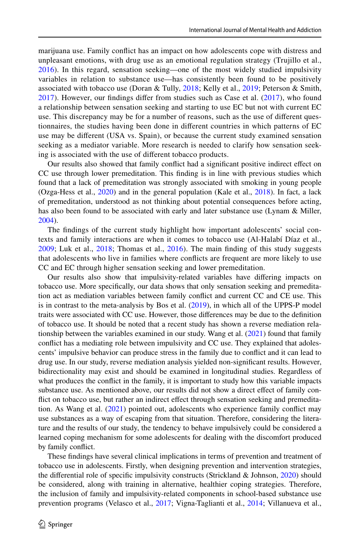marijuana use. Family confict has an impact on how adolescents cope with distress and unpleasant emotions, with drug use as an emotional regulation strategy (Trujillo et al., [2016](#page-11-9)). In this regard, sensation seeking—one of the most widely studied impulsivity variables in relation to substance use—has consistently been found to be positively associated with tobacco use (Doran & Tully, [2018;](#page-9-12) Kelly et al., [2019;](#page-10-15) Peterson & Smith, [2017](#page-11-12)). However, our fndings difer from studies such as Case et al. [\(2017\)](#page-9-8), who found a relationship between sensation seeking and starting to use EC but not with current EC use. This discrepancy may be for a number of reasons, such as the use of different ques tionnaires, the studies having been done in diferent countries in which patterns of EC use may be diferent (USA vs. Spain), or because the current study examined sensation seeking as a mediator variable. More research is needed to clarify how sensation seeking is associated with the use of diferent tobacco products.

Our results also showed that family confict had a signifcant positive indirect efect on CC use through lower premeditation. This fnding is in line with previous studies which found that a lack of premeditation was strongly associated with smoking in young people (Ozga-Hess et al., [2020](#page-10-16)) and in the general population (Kale et al., [2018](#page-10-6)). In fact, a lack of premeditation, understood as not thinking about potential consequences before acting, has also been found to be associated with early and later substance use (Lynam & Miller, [2004\)](#page-10-17).

The findings of the current study highlight how important adolescents' social contexts and family interactions are when it comes to tobacco use (Al-Halabí Díaz et al., [2009](#page-9-13); Luk et al., [2018](#page-10-4); Thomas et al., [2016\)](#page-11-4). The main fnding of this study suggests that adolescents who live in families where conficts are frequent are more likely to use CC and EC through higher sensation seeking and lower premeditation.

Our results also show that impulsivity-related variables have difering impacts on tobacco use. More specifically, our data shows that only sensation seeking and premeditation act as mediation variables between family confict and current CC and CE use. This is in contrast to the meta-analysis by Bos et al. [\(2019](#page-9-7)), in which all of the UPPS-P model traits were associated with CC use. However, those diferences may be due to the defnition of tobacco use. It should be noted that a recent study has shown a reverse mediation rela‑ tionship between the variables examined in our study. Wang et al. [\(2021](#page-11-13)) found that family conflict has a mediating role between impulsivity and CC use. They explained that adolescents' impulsive behavior can produce stress in the family due to confict and it can lead to drug use. In our study, reverse mediation analysis yielded non-signifcant results. However, bidirectionality may exist and should be examined in longitudinal studies. Regardless of what produces the confict in the family, it is important to study how this variable impacts substance use. As mentioned above, our results did not show a direct effect of family conflict on tobacco use, but rather an indirect effect through sensation seeking and premeditation. As Wang et al. ([2021\)](#page-11-13) pointed out, adolescents who experience family confict may use substances as a way of escaping from that situation. Therefore, considering the literature and the results of our study, the tendency to behave impulsively could be considered a learned coping mechanism for some adolescents for dealing with the discomfort produced by family confict.

These fndings have several clinical implications in terms of prevention and treatment of tobacco use in adolescents. Firstly, when designing prevention and intervention strategies, the diferential role of specifc impulsivity constructs (Strickland & Johnson, [2020\)](#page-11-6) should be considered, along with training in alternative, healthier coping strategies. Therefore, the inclusion of family and impulsivity-related components in school-based substance use prevention programs (Velasco et al., [2017](#page-11-14); Vigna-Taglianti et al., [2014](#page-11-15); Villanueva et al.,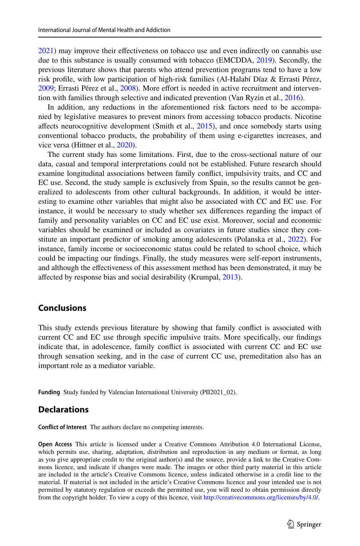[2021\)](#page-11-16) may improve their efectiveness on tobacco use and even indirectly on cannabis use due to this substance is usually consumed with tobacco (EMCDDA, [2019](#page-9-14)). Secondly, the previous literature shows that parents who attend prevention programs tend to have a low risk profle, with low participation of high-risk families (Al-Halabí Díaz & Errasti Pérez, [2009;](#page-9-15) Errasti Pérez et al., [2008\)](#page-9-16). More effort is needed in active recruitment and intervention with families through selective and indicated prevention (Van Ryzin et al., [2016\)](#page-11-17).

In addition, any reductions in the aforementioned risk factors need to be accompa nied by legislative measures to prevent minors from accessing tobacco products. Nicotine afects neurocognitive development (Smith et al., [2015](#page-11-18)), and once somebody starts using conventional tobacco products, the probability of them using e-cigarettes increases, and vice versa (Hittner et al., [2020\)](#page-10-18).

The current study has some limitations. First, due to the cross-sectional nature of our data, casual and temporal interpretations could not be established. Future research should examine longitudinal associations between family confict, impulsivity traits, and CC and EC use. Second, the study sample is exclusively from Spain, so the results cannot be generalized to adolescents from other cultural backgrounds. In addition, it would be interesting to examine other variables that might also be associated with CC and EC use. For instance, it would be necessary to study whether sex diferences regarding the impact of family and personality variables on CC and EC use exist. Moreover, social and economic variables should be examined or included as covariates in future studies since they constitute an important predictor of smoking among adolescents (Polanska et al., [2022\)](#page-11-3). For instance, family income or socioeconomic status could be related to school choice, which could be impacting our fndings. Finally, the study measures were self-report instruments, and although the efectiveness of this assessment method has been demonstrated, it may be afected by response bias and social desirability (Krumpal, [2013\)](#page-10-19).

### **Conclusions**

This study extends previous literature by showing that family confict is associated with current CC and EC use through specifc impulsive traits. More specifcally, our fndings indicate that, in adolescence, family confict is associated with current CC and EC use through sensation seeking, and in the case of current CC use, premeditation also has an important role as a mediator variable.

**Funding** Study funded by Valencian International University (PII2021\_02).

### **Declarations**

**Confict of Interest** The authors declare no competing interests.

**Open Access** This article is licensed under a Creative Commons Attribution 4.0 International License, which permits use, sharing, adaptation, distribution and reproduction in any medium or format, as long as you give appropriate credit to the original author(s) and the source, provide a link to the Creative Commons licence, and indicate if changes were made. The images or other third party material in this article are included in the article's Creative Commons licence, unless indicated otherwise in a credit line to the material. If material is not included in the article's Creative Commons licence and your intended use is not permitted by statutory regulation or exceeds the permitted use, you will need to obtain permission directly from the copyright holder. To view a copy of this licence, visit [http://creativecommons.org/licenses/by/4.0/.](http://creativecommons.org/licenses/by/4.0/)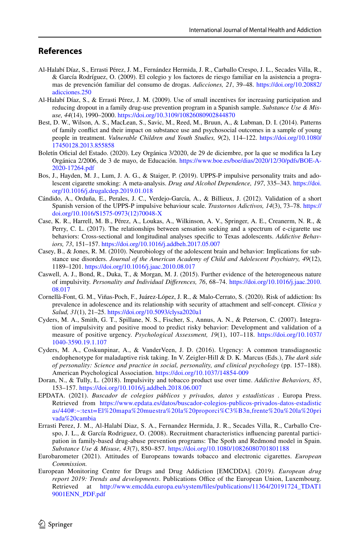### **References**

- <span id="page-9-13"></span>Al-Halabí Díaz, S., Errasti Pérez, J. M., Fernández Hermida, J. R., Carballo Crespo, J. L., Secades Villa, R., & García Rodríguez, O. (2009). El colegio y los factores de riesgo familiar en la asistencia a progra‑ mas de prevención familiar del consumo de drogas. *Adicciones, 21*, 39–48. [https://doi.org/10.20882/](https://doi.org/10.20882/adicciones.250) [adicciones.250](https://doi.org/10.20882/adicciones.250)
- <span id="page-9-15"></span>Al-Halabí Díaz, S., & Errasti Pérez, J. M. (2009). Use of small incentives for increasing participation and reducing dropout in a family drug-use prevention program in a Spanish sample. *Substance Use & Misuse, 44*(14), 1990–2000. <https://doi.org/10.3109/10826080902844870>
- <span id="page-9-1"></span>Best, D. W., Wilson, A. S., MacLean, S., Savic, M., Reed, M., Bruun, A., & Lubman, D. I. (2014). Patterns of family confict and their impact on substance use and psychosocial outcomes in a sample of young people in treatment. *Vulnerable Children and Youth Studies, 9*(2), 114–122. [https://doi.org/10.1080/](https://doi.org/10.1080/17450128.2013.855858) [17450128.2013.855858](https://doi.org/10.1080/17450128.2013.855858)
- <span id="page-9-10"></span>Boletín Oficial del Estado. (2020). Ley Orgánica 3/2020, de 29 de diciembre, por la que se modifica la Ley Orgánica 2/2006, de 3 de mayo, de Educación. [https://www.boe.es/boe/dias/2020/12/30/pdfs/BOE-A-](https://www.boe.es/boe/dias/2020/12/30/pdfs/BOE-A-2020-17264.pdf) [2020-17264.pdf](https://www.boe.es/boe/dias/2020/12/30/pdfs/BOE-A-2020-17264.pdf)
- <span id="page-9-7"></span>Bos, J., Hayden, M. J., Lum, J. A. G., & Staiger, P. (2019). UPPS-P impulsive personality traits and adolescent cigarette smoking: A meta-analysis. *Drug and Alcohol Dependence, 197*, 335–343. [https://doi.](https://doi.org/10.1016/j.drugalcdep.2019.01.018) [org/10.1016/j.drugalcdep.2019.01.018](https://doi.org/10.1016/j.drugalcdep.2019.01.018)
- <span id="page-9-11"></span>Cándido, A., Orduña, E., Perales, J. C., Verdejo-García, A., & Billieux, J. (2012). Validation of a short Spanish version of the UPPS-P impulsive behaviour scale. *Trastornos Adictivos, 14*(3), 73–78. [https://](https://doi.org/10.1016/S1575-0973(12)70048-X) [doi.org/10.1016/S1575-0973\(12\)70048-X](https://doi.org/10.1016/S1575-0973(12)70048-X)
- <span id="page-9-8"></span>Case, K. R., Harrell, M. B., Pérez, A., Loukas, A., Wilkinson, A. V., Springer, A. E., Creanerm, N. R., & Perry, C. L. (2017). The relationships between sensation seeking and a spectrum of e-cigarette use behaviors: Cross-sectional and longitudinal analyses specifc to Texas adolescents. *Addictive Behaviors, 73*, 151–157.<https://doi.org/10.1016/j.addbeh.2017.05.007>
- <span id="page-9-2"></span>Casey, B., & Jones, R. M. (2010). Neurobiology of the adolescent brain and behavior: Implications for sub‑ stance use disorders. *Journal of the American Academy of Child and Adolescent Psychiatry, 49*(12), 1189–1201. <https://doi.org/10.1016/j.jaac.2010.08.017>
- <span id="page-9-5"></span>Caswell, A. J., Bond, R., Duka, T., & Morgan, M. J. (2015). Further evidence of the heterogeneous nature of impulsivity. *Personality and Individual Diferences, 76*, 68–74. [https://doi.org/10.1016/j.jaac.2010.](https://doi.org/10.1016/j.jaac.2010.08.017) [08.017](https://doi.org/10.1016/j.jaac.2010.08.017)
- <span id="page-9-3"></span>Cornellà-Font, G. M., Viñas-Poch, F., Juárez-López, J. R., & Malo-Cerrato, S. (2020). Risk of addiction: Its prevalence in adolescence and its relationship with security of attachment and self-concept. *Clínica y Salud, 31*(1), 21–25.<https://doi.org/10.5093/clysa2020a1>
- <span id="page-9-6"></span>Cyders, M. A., Smith, G. T., Spillane, N. S., Fischer, S., Annus, A. N., & Peterson, C. (2007). Integration of impulsivity and positive mood to predict risky behavior: Development and validation of a measure of positive urgency. *Psychological Assessment, 19*(1), 107–118. [https://doi.org/10.1037/](https://doi.org/10.1037/1040-3590.19.1.107) [1040-3590.19.1.107](https://doi.org/10.1037/1040-3590.19.1.107)
- <span id="page-9-4"></span>Cyders, M. A., Coskunpinar, A., & VanderVeen, J. D. (2016). Urgency: A common transdiagnostic endophenotype for maladaptive risk taking. In V. Zeigler-Hill & D. K. Marcus (Eds.), *The dark side of personality: Science and practice in social, personality, and clinical psychology* (pp. 157–188). American Psychological Association. <https://doi.org/10.1037/14854-009>
- <span id="page-9-12"></span>Doran, N., & Tully, L. (2018). Impulsivity and tobacco product use over time. *Addictive Behaviors, 85*, 153–157. <https://doi.org/10.1016/j.addbeh.2018.06.007>
- <span id="page-9-9"></span>EPDATA. (2021). *Buscador de colegios públicos y privados, datos y estadísticas* . Europa Press. Retrieved from [https://www.epdata.es/datos/buscador-colegios-publicos-privados-datos-estadistic](https://www.epdata.es/datos/buscador-colegios-publicos-privados-datos-estadisticas/440#:~:text=El%20mapa%20muestra%20la%20proporci%C3%B3n,frente%20a%20la%20privada%20cambia) [as/440#:~:text=El%20mapa%20muestra%20la%20proporci%C3%B3n,frente%20a%20la%20pri](https://www.epdata.es/datos/buscador-colegios-publicos-privados-datos-estadisticas/440#:~:text=El%20mapa%20muestra%20la%20proporci%C3%B3n,frente%20a%20la%20privada%20cambia) [vada%20cambia](https://www.epdata.es/datos/buscador-colegios-publicos-privados-datos-estadisticas/440#:~:text=El%20mapa%20muestra%20la%20proporci%C3%B3n,frente%20a%20la%20privada%20cambia)
- <span id="page-9-16"></span>Errasti Perez, J. M., Al-Halabí Diaz, S. A., Fernandez Hermida, J. R., Secades Villa, R., Carballo Crespo, J. L., & García Rodriguez, O. (2008). Recruitment characteristics influencing parental participation in family-based drug-abuse prevention programs: The Spoth and Redmond model in Spain. *Substance Use & Misuse, 43*(7), 850–857.<https://doi.org/10.1080/10826080701801188>
- <span id="page-9-0"></span>Eurobarometer (2021). Attitudes of Europeans towards tobacco and electronic cigarettes. *European Commission.*
- <span id="page-9-14"></span>European Monitoring Centre for Drugs and Drug Addiction [EMCDDA]. (2019*). European drug report 2019: Trends and developments.* Publications Office of the European Union, Luxembourg. Retrieved at [http://www.emcdda.europa.eu/system/fles/publications/11364/20191724\\_TDAT1](http://www.emcdda.europa.eu/system/files/publications/11364/20191724_TDAT19001ENN_PDF.pdf) [9001ENN\\_PDF.pdf](http://www.emcdda.europa.eu/system/files/publications/11364/20191724_TDAT19001ENN_PDF.pdf)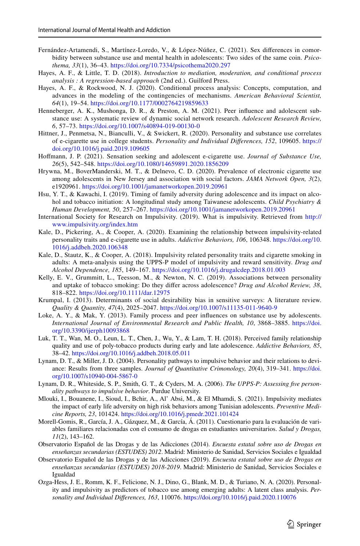- <span id="page-10-5"></span>Fernández-Artamendi, S., Martínez-Loredo, V., & López-Núñez, C. (2021). Sex differences in comorbidity between substance use and mental health in adolescents: Two sides of the same coin. *Psicothema, 33*(1), 36–43. <https://doi.org/10.7334/psicothema2020.297>
- <span id="page-10-13"></span>Hayes, A. F., & Little, T. D. (2018). *Introduction to mediation, moderation, and conditional process analysis : A regression-based approach* (2nd ed.). Guilford Press.
- <span id="page-10-14"></span>Hayes, A. F., & Rockwood, N. J. (2020). Conditional process analysis: Concepts, computation, and advances in the modeling of the contingencies of mechanisms. *American Behavioral Scientist, 64*(1), 19–54. <https://doi.org/10.1177/0002764219859633>
- <span id="page-10-2"></span>Henneberger, A. K., Mushonga, D. R., & Preston, A. M. (2021). Peer influence and adolescent substance use: A systematic review of dynamic social network research. *Adolescent Research Review, 6*, 57–73. <https://doi.org/10.1007/s40894-019-00130-0>
- <span id="page-10-18"></span>Hittner, J., Penmetsa, N., Bianculli, V., & Swickert, R. (2020). Personality and substance use correlates of e-cigarette use in college students. *Personality and Individual Diferences, 152*, 109605. [https://](https://doi.org/10.1016/j.paid.2019.109605) [doi.org/10.1016/j.paid.2019.109605](https://doi.org/10.1016/j.paid.2019.109605)
- <span id="page-10-8"></span>Hofmann, J. P. (2021). Sensation seeking and adolescent e-cigarette use. *Journal of Substance Use, 26*(5), 542–548. <https://doi.org/10.1080/14659891.2020.1856209>
- <span id="page-10-0"></span>Hrywna, M., BoverManderski, M. T., & Delnevo, C. D. (2020). Prevalence of electronic cigarette use among adolescents in New Jersey and association with social factors. *JAMA Network Open, 3*(2), e1920961.<https://doi.org/10.1001/jamanetworkopen.2019.20961>
- Hsu, Y. T., & Kawachi, I. (2019). Timing of family adversity during adolescence and its impact on alcohol and tobacco initiation: A longitudinal study among Taiwanese adolescents. *Child Psychiatry & Human Development, 50*, 257–267. <https://doi.org/10.1001/jamanetworkopen.2019.20961>
- <span id="page-10-7"></span>International Society for Research on Impulsivity. (2019). What is impulsivity. Retrieved from [http://](http://www.impulsivity.org/index.htm) [www.impulsivity.org/index.htm](http://www.impulsivity.org/index.htm)
- <span id="page-10-9"></span>Kale, D., Pickering, A., & Cooper, A. (2020). Examining the relationship between impulsivity-related personality traits and e-cigarette use in adults. *Addictive Behaviors, 106*, 106348. [https://doi.org/10.](https://doi.org/10.1016/j.addbeh.2020.106348) [1016/j.addbeh.2020.106348](https://doi.org/10.1016/j.addbeh.2020.106348)
- <span id="page-10-6"></span>Kale, D., Stautz, K., & Cooper, A. (2018). Impulsivity related personality traits and cigarette smoking in adults: A meta-analysis using the UPPS-P model of impulsivity and reward sensitivity. *Drug and Alcohol Dependence, 185*, 149–167. <https://doi.org/10.1016/j.drugalcdep.2018.01.003>
- <span id="page-10-15"></span>Kelly, E. V., Grummitt, L., Teesson, M., & Newton, N. C. (2019). Associations between personality and uptake of tobacco smoking: Do they difer across adolescence? *Drug and Alcohol Review, 38*, 818–822. <https://doi.org/10.1111/dar.12975>
- <span id="page-10-19"></span>Krumpal, I. (2013). Determinants of social desirability bias in sensitive surveys: A literature review. *Quality & Quantity, 47*(4), 2025–2047. <https://doi.org/10.1007/s11135-011-9640-9>
- <span id="page-10-3"></span>Loke, A. Y., & Mak, Y. (2013). Family process and peer influences on substance use by adolescents. *International Journal of Environmental Research and Public Health, 10*, 3868–3885. [https://doi.](https://doi.org/10.3390/ijerph10093868) [org/10.3390/ijerph10093868](https://doi.org/10.3390/ijerph10093868)
- <span id="page-10-4"></span>Luk, T. T., Wan, M. O., Leun, L. T., Chen, J., Wu, Y., & Lam, T. H. (2018). Perceived family relationship quality and use of poly-tobacco products during early and late adolescence. *Addictive Behaviors, 85*, 38–42. <https://doi.org/10.1016/j.addbeh.2018.05.011>
- <span id="page-10-17"></span>Lynam, D. T., & Miller, J. D. (2004). Personality pathways to impulsive behavior and their relations to deviance: Results from three samples. *Journal of Quantitative Crimonology, 20*(4), 319–341. [https://doi.](https://doi.org/10.1007/s10940-004-5867-0) [org/10.1007/s10940-004-5867-0](https://doi.org/10.1007/s10940-004-5867-0)
- <span id="page-10-11"></span>Lynam, D. R., Whiteside, S. P., Smith, G. T., & Cyders, M. A. (2006). *The UPPS-P: Assessing fve personality pathways to impulsive behavior*. Purdue University.
- <span id="page-10-10"></span>Mlouki, I., Bouanene, I., Sioud, I., Bchir, A., Al' Absi, M., & El Mhamdi, S. (2021). Impulsivity mediates the impact of early life adversity on high risk behaviors among Tunisian adolescents. *Preventive Medicine Reports, 23*, 101424. <https://doi.org/10.1016/j.pmedr.2021.101424>
- <span id="page-10-12"></span>Morell-Gomis, R., García, J. A., Gázquez, M., & García, Á. (2011). Cuestionario para la evaluación de vari‑ ables familiares relacionadas con el consumo de drogas en estudiantes universitarios. *Salud y Drogas, 11*(2), 143–162.
- Observatorio Español de las Drogas y de las Adicciones (2014). *Encuesta estatal sobre uso de Drogas en enseñanzas secundarias (ESTUDES) 2012*. Madrid: Ministerio de Sanidad, Servicios Sociales e Igualdad
- <span id="page-10-1"></span>Observatorio Español de las Drogas y de las Adicciones (2019). *Encuesta estatal sobre uso de Drogas en enseñanzas secundarias (ESTUDES) 2018-2019*. Madrid: Ministerio de Sanidad, Servicios Sociales e Igualdad
- <span id="page-10-16"></span>Ozga-Hess, J. E., Romm, K. F., Felicione, N. J., Dino, G., Blank, M. D., & Turiano, N. A. (2020). Personality and impulsivity as predictors of tobacco use among emerging adults: A latent class analysis. *Personality and Individual Diferences, 163*, 110076.<https://doi.org/10.1016/j.paid.2020.110076>